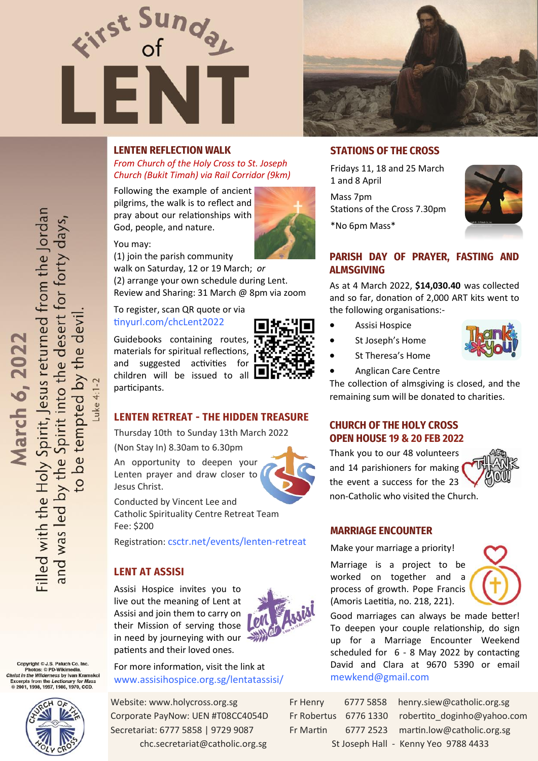



#### **LENTEN REFLECTION WALK**

*From Church of the Holy Cross to St. Joseph Church (Bukit Timah) via Rail Corridor (9km)*

Following the example of ancient pilgrims, the walk is to reflect and pray about our relationships with God, people, and nature.



(1) join the parish community

walk on Saturday, 12 or 19 March; *or* (2) arrange your own schedule during Lent. Review and Sharing: 31 March @ 8pm via zoom

To register, scan QR quote or via [tinyurl.com/chcLent2022](https://tinyurl.com/chcLent2022)

Guidebooks containing routes, materials for spiritual reflections, and suggested activities for children will be issued to all  $\Box$ participants.



# **LENTEN RETREAT - THE HIDDEN TREASURE**

Thursday 10th to Sunday 13th March 2022

(Non Stay In) 8.30am to 6.30pm

An opportunity to deepen your Lenten prayer and draw closer to Jesus Christ.



Registration: [csctr.net/events/lenten](https://csctr.net/events/lenten-retreat/)-retreat

#### **LENT AT ASSISI**

Assisi Hospice invites you to live out the meaning of Lent at Assisi and join them to carry on their Mission of serving those in need by journeying with our patients and their loved ones.



For more information, visit the link at [www.assisihospice.org.sg/lentatassisi/](https://www.assisihospice.org.sg/lentatassisi/)

Website: www.holycross.org.sg Corporate PayNow: UEN #T08CC4054D Secretariat: 6777 5858 | 9729 9087 chc.secretariat@catholic.org.sg

#### **STATIONS OF THE CROSS**

Fridays 11, 18 and 25 March 1 and 8 April

Mass 7pm Stations of the Cross 7.30pm

\*No 6pm Mass\*



# **PARISH DAY OF PRAYER, FASTING AND ALMSGIVING**

As at 4 March 2022, **\$14,030.40** was collected and so far, donation of 2,000 ART kits went to the following organisations:-

- Assisi Hospice
- St Joseph's Home
- St Theresa's Home



- 
- Anglican Care Centre The collection of almsgiving is closed, and the

remaining sum will be donated to charities.

#### **CHURCH OF THE HOLY CROSS OPEN HOUSE 19 & 20 FEB 2022**

Thank you to our 48 volunteers and 14 parishioners for making the event a success for the 23 non-Catholic who visited the Church.



#### **MARRIAGE ENCOUNTER**

Make your marriage a priority!

Marriage is a project to be worked on together and a process of growth. Pope Francis (Amoris Laetitia, no. 218, 221).



Good marriages can always be made better! To deepen your couple relationship, do sign up for a Marriage Encounter Weekend scheduled for 6 - 8 May 2022 by contacting David and Clara at 9670 5390 or email [mewkend@gmail.com](mailto:mewkend@gmail.com?subject=Marriage%20Encounter)

| Fr Henry  | 6777 5858 henry.siew@catholic.org.sg              |
|-----------|---------------------------------------------------|
|           | Fr Robertus 6776 1330 robertito doginho@yahoo.com |
| Fr Martin | 6777 2523 martin.low@catholic.org.sg              |
|           | St Joseph Hall - Kenny Yeo 9788 4433              |

Filled with the Holy Spirit, Jesus returned from the Jordan and was led by the Spirit into the desert for forty days tempted by the devil March 6, 2022  $b$ e  $\overline{c}$ 

Luke 4:1-2

Copyright © J.S. Paluch Co. Inc.<br>Photos: © PD-Wikimedia,<br>Christ in the Wilderness by Ivan Kramskoi **Excerpts from the Lection** ary for Mass © 2001, 1998, 1997, 1986, 1970, CCD.